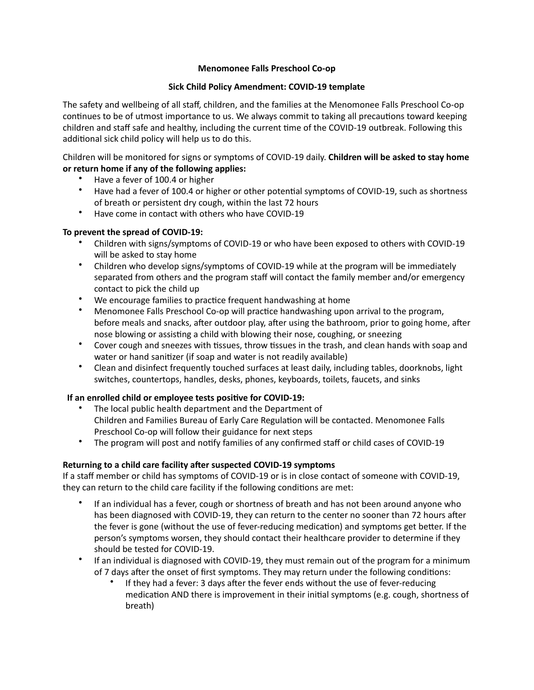### **Menomonee Falls Preschool Co-op**

## **Sick Child Policy Amendment: COVID-19 template**

The safety and wellbeing of all staff, children, and the families at the Menomonee Falls Preschool Co-op continues to be of utmost importance to us. We always commit to taking all precautions toward keeping children and staff safe and healthy, including the current time of the COVID-19 outbreak. Following this additional sick child policy will help us to do this.

Children will be monitored for signs or symptoms of COVID-19 daily. **Children will be asked to stay home** or return home if any of the following applies:

- Have a fever of 100.4 or higher
- Have had a fever of 100.4 or higher or other potential symptoms of COVID-19, such as shortness of breath or persistent dry cough, within the last 72 hours
- Have come in contact with others who have COVID-19

## To prevent the spread of COVID-19:

- Children with signs/symptoms of COVID-19 or who have been exposed to others with COVID-19 will be asked to stay home
- Children who develop signs/symptoms of COVID-19 while at the program will be immediately separated from others and the program staff will contact the family member and/or emergency contact to pick the child up
- We encourage families to practice frequent handwashing at home
- Menomonee Falls Preschool Co-op will practice handwashing upon arrival to the program, before meals and snacks, after outdoor play, after using the bathroom, prior to going home, after nose blowing or assisting a child with blowing their nose, coughing, or sneezing
- Cover cough and sneezes with tissues, throw tissues in the trash, and clean hands with soap and water or hand sanitizer (if soap and water is not readily available)
- Clean and disinfect frequently touched surfaces at least daily, including tables, doorknobs, light switches, countertops, handles, desks, phones, keyboards, toilets, faucets, and sinks

# **If an enrolled child or employee tests positive for COVID-19:**

- The local public health department and the Department of Children and Families Bureau of Early Care Regulation will be contacted. Menomonee Falls Preschool Co-op will follow their guidance for next steps
- The program will post and notify families of any confirmed staff or child cases of COVID-19

# Returning to a child care facility after suspected COVID-19 symptoms

If a staff member or child has symptoms of COVID-19 or is in close contact of someone with COVID-19, they can return to the child care facility if the following conditions are met:

- If an individual has a fever, cough or shortness of breath and has not been around anyone who has been diagnosed with COVID-19, they can return to the center no sooner than 72 hours after the fever is gone (without the use of fever-reducing medication) and symptoms get better. If the person's symptoms worsen, they should contact their healthcare provider to determine if they should be tested for COVID-19.
- If an individual is diagnosed with COVID-19, they must remain out of the program for a minimum of 7 days after the onset of first symptoms. They may return under the following conditions:
	- If they had a fever: 3 days after the fever ends without the use of fever-reducing medication AND there is improvement in their initial symptoms (e.g. cough, shortness of breath)